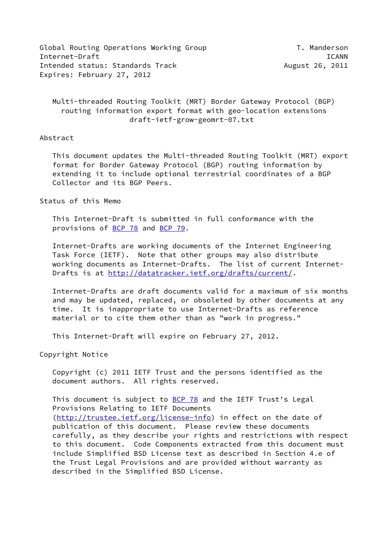Global Routing Operations Working Group T. Manderson Internet-Draft ICANN Intended status: Standards Track and August 26, 2011 Expires: February 27, 2012

 Multi-threaded Routing Toolkit (MRT) Border Gateway Protocol (BGP) routing information export format with geo-location extensions draft-ietf-grow-geomrt-07.txt

#### Abstract

 This document updates the Multi-threaded Routing Toolkit (MRT) export format for Border Gateway Protocol (BGP) routing information by extending it to include optional terrestrial coordinates of a BGP Collector and its BGP Peers.

#### Status of this Memo

 This Internet-Draft is submitted in full conformance with the provisions of [BCP 78](https://datatracker.ietf.org/doc/pdf/bcp78) and [BCP 79](https://datatracker.ietf.org/doc/pdf/bcp79).

 Internet-Drafts are working documents of the Internet Engineering Task Force (IETF). Note that other groups may also distribute working documents as Internet-Drafts. The list of current Internet- Drafts is at<http://datatracker.ietf.org/drafts/current/>.

 Internet-Drafts are draft documents valid for a maximum of six months and may be updated, replaced, or obsoleted by other documents at any time. It is inappropriate to use Internet-Drafts as reference material or to cite them other than as "work in progress."

This Internet-Draft will expire on February 27, 2012.

Copyright Notice

 Copyright (c) 2011 IETF Trust and the persons identified as the document authors. All rights reserved.

This document is subject to **[BCP 78](https://datatracker.ietf.org/doc/pdf/bcp78)** and the IETF Trust's Legal Provisions Relating to IETF Documents [\(http://trustee.ietf.org/license-info](http://trustee.ietf.org/license-info)) in effect on the date of publication of this document. Please review these documents carefully, as they describe your rights and restrictions with respect to this document. Code Components extracted from this document must include Simplified BSD License text as described in Section 4.e of the Trust Legal Provisions and are provided without warranty as described in the Simplified BSD License.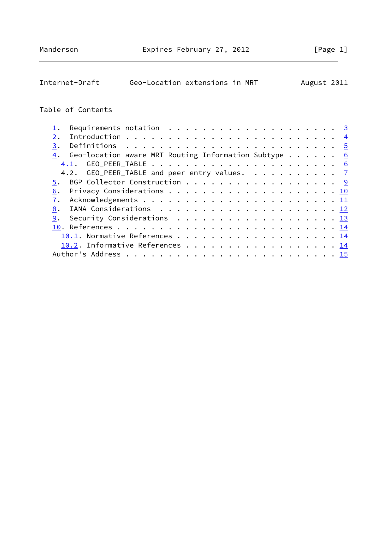| Internet-Draft                                                                                | Geo-Location extensions in MRT |  |  |  |  |  |  |  |  |  |  | August 2011      |
|-----------------------------------------------------------------------------------------------|--------------------------------|--|--|--|--|--|--|--|--|--|--|------------------|
| Table of Contents                                                                             |                                |  |  |  |  |  |  |  |  |  |  |                  |
| Requirements notation $\ldots \ldots \ldots \ldots \ldots \ldots$<br>ļ.                       |                                |  |  |  |  |  |  |  |  |  |  |                  |
| 2.                                                                                            |                                |  |  |  |  |  |  |  |  |  |  | $\overline{4}$   |
| 3.                                                                                            |                                |  |  |  |  |  |  |  |  |  |  |                  |
| Geo-location aware MRT Routing Information Subtype $\dots$<br>4.                              |                                |  |  |  |  |  |  |  |  |  |  | 6                |
| 4.1.                                                                                          |                                |  |  |  |  |  |  |  |  |  |  | $6 \overline{6}$ |
| GEO_PEER_TABLE and peer entry values. $\frac{7}{2}$<br>4.2.                                   |                                |  |  |  |  |  |  |  |  |  |  |                  |
| BGP Collector Construction 9<br>5.                                                            |                                |  |  |  |  |  |  |  |  |  |  |                  |
| 6.                                                                                            |                                |  |  |  |  |  |  |  |  |  |  |                  |
| $\overline{1}$ .                                                                              |                                |  |  |  |  |  |  |  |  |  |  |                  |
| 8.                                                                                            |                                |  |  |  |  |  |  |  |  |  |  |                  |
| 9.<br>Security Considerations $\ldots \ldots \ldots \ldots \ldots \ldots \ldots \frac{13}{2}$ |                                |  |  |  |  |  |  |  |  |  |  |                  |
|                                                                                               |                                |  |  |  |  |  |  |  |  |  |  |                  |
|                                                                                               |                                |  |  |  |  |  |  |  |  |  |  |                  |
| 10.2. Informative References 14                                                               |                                |  |  |  |  |  |  |  |  |  |  |                  |
|                                                                                               |                                |  |  |  |  |  |  |  |  |  |  |                  |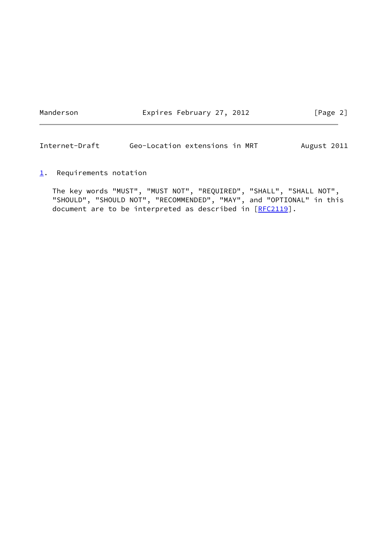Manderson **Expires February 27, 2012** [Page 2]

<span id="page-2-1"></span>Internet-Draft Geo-Location extensions in MRT August 2011

<span id="page-2-0"></span> $1.$  $1.$  Requirements notation

 The key words "MUST", "MUST NOT", "REQUIRED", "SHALL", "SHALL NOT", "SHOULD", "SHOULD NOT", "RECOMMENDED", "MAY", and "OPTIONAL" in this document are to be interpreted as described in [\[RFC2119](https://datatracker.ietf.org/doc/pdf/rfc2119)].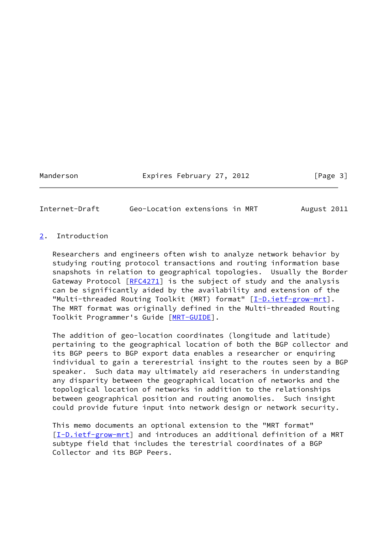Manderson **Expires February 27, 2012** [Page 3]

<span id="page-3-1"></span>Internet-Draft Geo-Location extensions in MRT August 2011

## <span id="page-3-0"></span>[2](#page-3-0). Introduction

 Researchers and engineers often wish to analyze network behavior by studying routing protocol transactions and routing information base snapshots in relation to geographical topologies. Usually the Border Gateway Protocol [\[RFC4271](https://datatracker.ietf.org/doc/pdf/rfc4271)] is the subject of study and the analysis can be significantly aided by the availability and extension of the "Multi-threaded Routing Toolkit (MRT) format" [[I-D.ietf-grow-mrt\]](#page-14-3). The MRT format was originally defined in the Multi-threaded Routing Toolkit Programmer's Guide [[MRT-GUIDE\]](#page-15-2).

 The addition of geo-location coordinates (longitude and latitude) pertaining to the geographical location of both the BGP collector and its BGP peers to BGP export data enables a researcher or enquiring individual to gain a tererestrial insight to the routes seen by a BGP speaker. Such data may ultimately aid reserachers in understanding any disparity between the geographical location of networks and the topological location of networks in addition to the relationships between geographical position and routing anomolies. Such insight could provide future input into network design or network security.

 This memo documents an optional extension to the "MRT format" [\[I-D.ietf-grow-mrt](#page-14-3)] and introduces an additional definition of a MRT subtype field that includes the terestrial coordinates of a BGP Collector and its BGP Peers.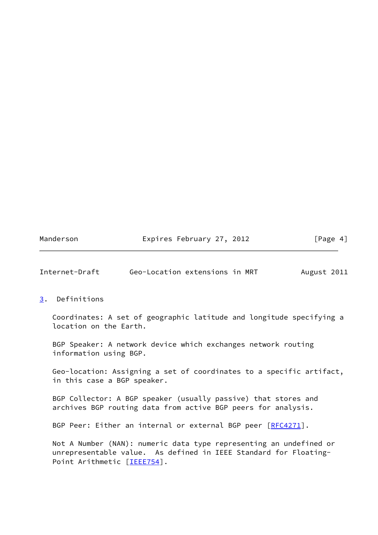| Manderson |
|-----------|
|-----------|

Expires February 27, 2012 [Page 4]

<span id="page-4-1"></span>Internet-Draft Geo-Location extensions in MRT August 2011

#### <span id="page-4-0"></span>[3](#page-4-0). Definitions

 Coordinates: A set of geographic latitude and longitude specifying a location on the Earth.

 BGP Speaker: A network device which exchanges network routing information using BGP.

 Geo-location: Assigning a set of coordinates to a specific artifact, in this case a BGP speaker.

 BGP Collector: A BGP speaker (usually passive) that stores and archives BGP routing data from active BGP peers for analysis.

BGP Peer: Either an internal or external BGP peer [[RFC4271](https://datatracker.ietf.org/doc/pdf/rfc4271)].

 Not A Number (NAN): numeric data type representing an undefined or unrepresentable value. As defined in IEEE Standard for Floating- Point Arithmetic [\[IEEE754](#page-15-3)].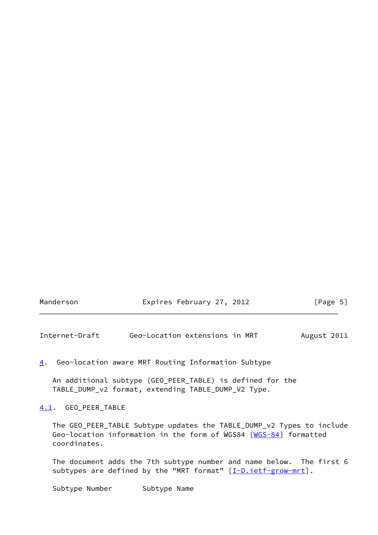|  | [Page 5]                  |
|--|---------------------------|
|  | Expires February 27, 2012 |

<span id="page-5-1"></span>Internet-Draft Geo-Location extensions in MRT August 2011

<span id="page-5-0"></span>[4](#page-5-0). Geo-location aware MRT Routing Information Subtype

 An additional subtype (GEO\_PEER\_TABLE) is defined for the TABLE\_DUMP\_v2 format, extending TABLE\_DUMP\_V2 Type.

<span id="page-5-2"></span>[4.1](#page-5-2). GEO\_PEER\_TABLE

 The GEO\_PEER\_TABLE Subtype updates the TABLE\_DUMP\_v2 Types to include Geo-location information in the form of WGS84 [[WGS-84](#page-15-4)] formatted coordinates.

 The document adds the 7th subtype number and name below. The first 6 subtypes are defined by the "MRT format"  $[\underline{I-D.ietf-grow-mrt}]$ .

Subtype Number Subtype Name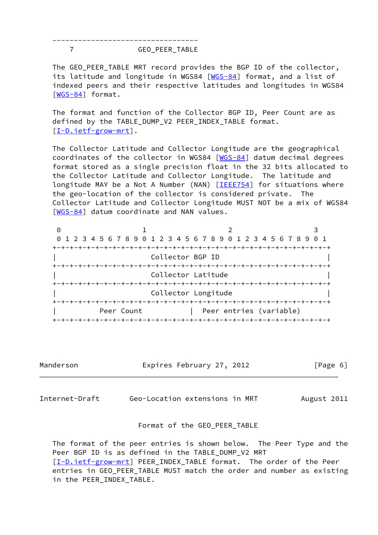---------------------------------- 7 GEO\_PEER\_TABLE

 The GEO\_PEER\_TABLE MRT record provides the BGP ID of the collector, its latitude and longitude in WGS84 [\[WGS-84](#page-15-4)] format, and a list of indexed peers and their respective latitudes and longitudes in WGS84 [\[WGS-84](#page-15-4)] format.

 The format and function of the Collector BGP ID, Peer Count are as defined by the TABLE\_DUMP\_V2 PEER\_INDEX\_TABLE format. [\[I-D.ietf-grow-mrt](#page-14-3)].

 The Collector Latitude and Collector Longitude are the geographical coordinates of the collector in WGS84 [[WGS-84](#page-15-4)] datum decimal degrees format stored as a single precision float in the 32 bits allocated to the Collector Latitude and Collector Longitude. The latitude and longitude MAY be a Not A Number (NAN) [[IEEE754](#page-15-3)] for situations where the geo-location of the collector is considered private. The Collector Latitude and Collector Longitude MUST NOT be a mix of WGS84 [\[WGS-84](#page-15-4)] datum coordinate and NAN values.

| $\left( \cdot \right)$ |            |                                                                 |  |  |  |  |  |
|------------------------|------------|-----------------------------------------------------------------|--|--|--|--|--|
|                        |            | 0 1 2 3 4 5 6 7 8 9 0 1 2 3 4 5 6 7 8 9 0 1 2 3 4 5 6 7 8 9 0 1 |  |  |  |  |  |
|                        |            |                                                                 |  |  |  |  |  |
| Collector BGP ID       |            |                                                                 |  |  |  |  |  |
|                        |            |                                                                 |  |  |  |  |  |
|                        |            | Collector Latitude                                              |  |  |  |  |  |
|                        |            |                                                                 |  |  |  |  |  |
|                        |            | Collector Longitude                                             |  |  |  |  |  |
|                        |            |                                                                 |  |  |  |  |  |
|                        | Peer Count | Peer entries (variable)                                         |  |  |  |  |  |
|                        |            |                                                                 |  |  |  |  |  |

Manderson Expires February 27, 2012 [Page 6]

<span id="page-6-0"></span>Internet-Draft Geo-Location extensions in MRT August 2011

### Format of the GEO\_PEER\_TABLE

 The format of the peer entries is shown below. The Peer Type and the Peer BGP ID is as defined in the TABLE\_DUMP\_V2 MRT [\[I-D.ietf-grow-mrt](#page-14-3)] PEER\_INDEX\_TABLE format. The order of the Peer entries in GEO\_PEER\_TABLE MUST match the order and number as existing in the PEER\_INDEX\_TABLE.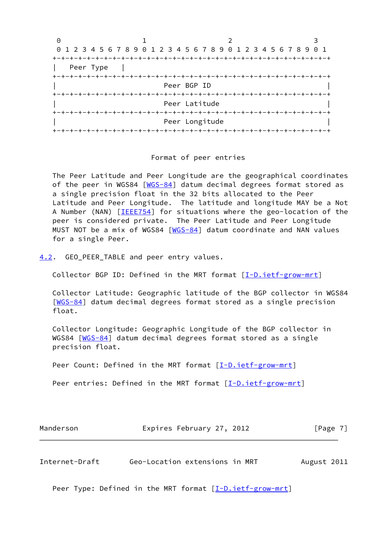| 0         |                                                                 |                        |  |
|-----------|-----------------------------------------------------------------|------------------------|--|
|           | 0 1 2 3 4 5 6 7 8 9 0 1 2 3 4 5 6 7 8 9 0 1 2 3 4 5 6 7 8 9 0 1 |                        |  |
|           |                                                                 |                        |  |
| Peer Type |                                                                 |                        |  |
|           |                                                                 |                        |  |
|           |                                                                 | Peer BGP ID            |  |
|           |                                                                 | -+-+-+-+-+-+-+-+-+-+-+ |  |
|           |                                                                 | Peer Latitude          |  |
|           |                                                                 |                        |  |
|           |                                                                 | Peer Longitude         |  |
|           |                                                                 |                        |  |

#### Format of peer entries

 The Peer Latitude and Peer Longitude are the geographical coordinates of the peer in WGS84 [\[WGS-84](#page-15-4)] datum decimal degrees format stored as a single precision float in the 32 bits allocated to the Peer Latitude and Peer Longitude. The latitude and longitude MAY be a Not A Number (NAN) [\[IEEE754](#page-15-3)] for situations where the geo-location of the peer is considered private. The Peer Latitude and Peer Longitude MUST NOT be a mix of WGS84 [[WGS-84](#page-15-4)] datum coordinate and NAN values for a single Peer.

<span id="page-7-0"></span>[4.2](#page-7-0). GEO\_PEER\_TABLE and peer entry values.

Collector BGP ID: Defined in the MRT format [\[I-D.ietf-grow-mrt](#page-14-3)]

 Collector Latitude: Geographic latitude of the BGP collector in WGS84 [\[WGS-84](#page-15-4)] datum decimal degrees format stored as a single precision float.

 Collector Longitude: Geographic Longitude of the BGP collector in WGS84 [[WGS-84](#page-15-4)] datum decimal degrees format stored as a single precision float.

Peer Count: Defined in the MRT format [[I-D.ietf-grow-mrt\]](#page-14-3)

Peer entries: Defined in the MRT format [\[I-D.ietf-grow-mrt](#page-14-3)]

Manderson **Expires February 27, 2012** [Page 7]

Internet-Draft Geo-Location extensions in MRT August 2011

Peer Type: Defined in the MRT format  $[\underline{I-D.ietf-grow-mrt}]$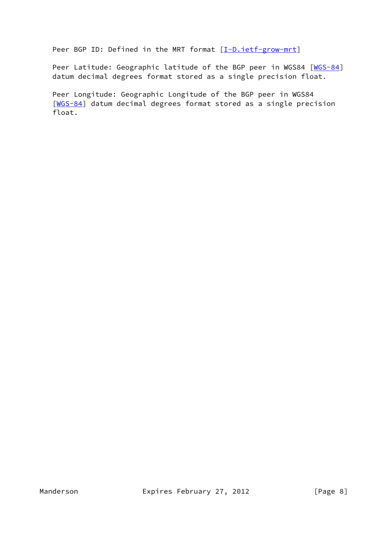Peer BGP ID: Defined in the MRT format [\[I-D.ietf-grow-mrt](#page-14-3)]

Peer Latitude: Geographic latitude of the BGP peer in WGS84 [\[WGS-84](#page-15-4)] datum decimal degrees format stored as a single precision float.

 Peer Longitude: Geographic Longitude of the BGP peer in WGS84 [\[WGS-84](#page-15-4)] datum decimal degrees format stored as a single precision float.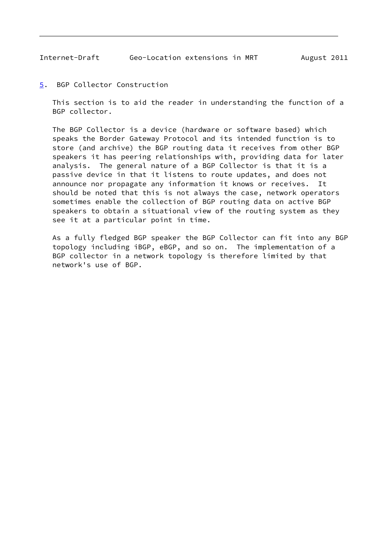<span id="page-9-1"></span><span id="page-9-0"></span>[5](#page-9-0). BGP Collector Construction

 This section is to aid the reader in understanding the function of a BGP collector.

 The BGP Collector is a device (hardware or software based) which speaks the Border Gateway Protocol and its intended function is to store (and archive) the BGP routing data it receives from other BGP speakers it has peering relationships with, providing data for later analysis. The general nature of a BGP Collector is that it is a passive device in that it listens to route updates, and does not announce nor propagate any information it knows or receives. It should be noted that this is not always the case, network operators sometimes enable the collection of BGP routing data on active BGP speakers to obtain a situational view of the routing system as they see it at a particular point in time.

 As a fully fledged BGP speaker the BGP Collector can fit into any BGP topology including iBGP, eBGP, and so on. The implementation of a BGP collector in a network topology is therefore limited by that network's use of BGP.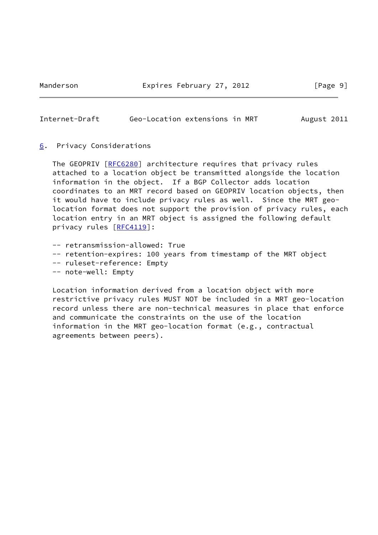Manderson **Expires February 27, 2012** [Page 9]

#### <span id="page-10-1"></span>Internet-Draft Geo-Location extensions in MRT August 2011

#### <span id="page-10-0"></span>[6](#page-10-0). Privacy Considerations

The GEOPRIV [\[RFC6280](https://datatracker.ietf.org/doc/pdf/rfc6280)] architecture requires that privacy rules attached to a location object be transmitted alongside the location information in the object. If a BGP Collector adds location coordinates to an MRT record based on GEOPRIV location objects, then it would have to include privacy rules as well. Since the MRT geo location format does not support the provision of privacy rules, each location entry in an MRT object is assigned the following default privacy rules [[RFC4119](https://datatracker.ietf.org/doc/pdf/rfc4119)]:

- -- retransmission-allowed: True
- -- retention-expires: 100 years from timestamp of the MRT object
- -- ruleset-reference: Empty
- -- note-well: Empty

 Location information derived from a location object with more restrictive privacy rules MUST NOT be included in a MRT geo-location record unless there are non-technical measures in place that enforce and communicate the constraints on the use of the location information in the MRT geo-location format (e.g., contractual agreements between peers).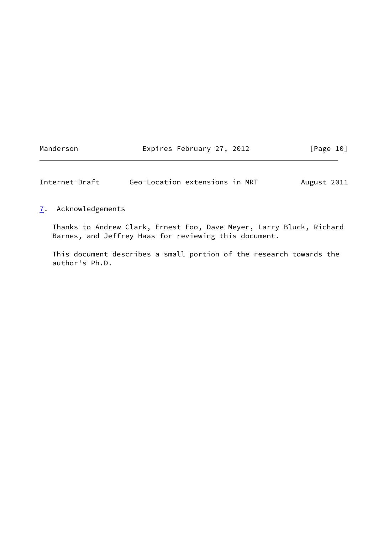Manderson **Expires February 27, 2012** [Page 10]

<span id="page-11-1"></span>Internet-Draft Geo-Location extensions in MRT August 2011

## <span id="page-11-0"></span>[7](#page-11-0). Acknowledgements

 Thanks to Andrew Clark, Ernest Foo, Dave Meyer, Larry Bluck, Richard Barnes, and Jeffrey Haas for reviewing this document.

 This document describes a small portion of the research towards the author's Ph.D.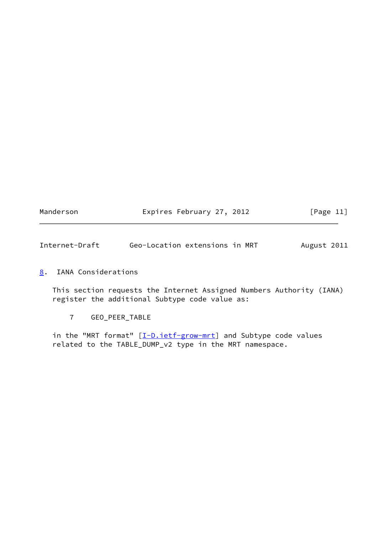| Manderson | Expires February 27, 2012 | [Page 11] |
|-----------|---------------------------|-----------|
|           |                           |           |

<span id="page-12-1"></span>Internet-Draft Geo-Location extensions in MRT August 2011

# <span id="page-12-0"></span>[8](#page-12-0). IANA Considerations

 This section requests the Internet Assigned Numbers Authority (IANA) register the additional Subtype code value as:

7 GEO\_PEER\_TABLE

in the "MRT format" [\[I-D.ietf-grow-mrt](#page-14-3)] and Subtype code values related to the TABLE\_DUMP\_v2 type in the MRT namespace.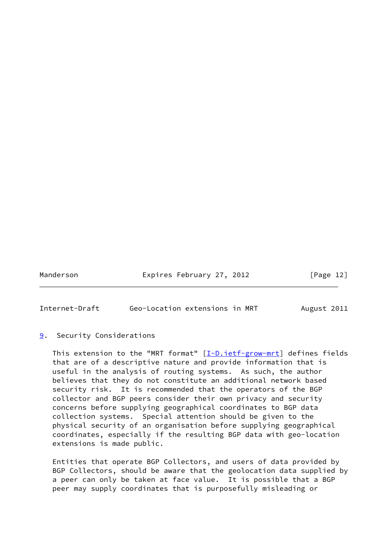Manderson **Expires February 27, 2012** [Page 12]

<span id="page-13-1"></span>Internet-Draft Geo-Location extensions in MRT August 2011

## <span id="page-13-0"></span>[9](#page-13-0). Security Considerations

This extension to the "MRT format"  $[I-D.iett-grow-mrt]$  defines fields that are of a descriptive nature and provide information that is useful in the analysis of routing systems. As such, the author believes that they do not constitute an additional network based security risk. It is recommended that the operators of the BGP collector and BGP peers consider their own privacy and security concerns before supplying geographical coordinates to BGP data collection systems. Special attention should be given to the physical security of an organisation before supplying geographical coordinates, especially if the resulting BGP data with geo-location extensions is made public.

 Entities that operate BGP Collectors, and users of data provided by BGP Collectors, should be aware that the geolocation data supplied by a peer can only be taken at face value. It is possible that a BGP peer may supply coordinates that is purposefully misleading or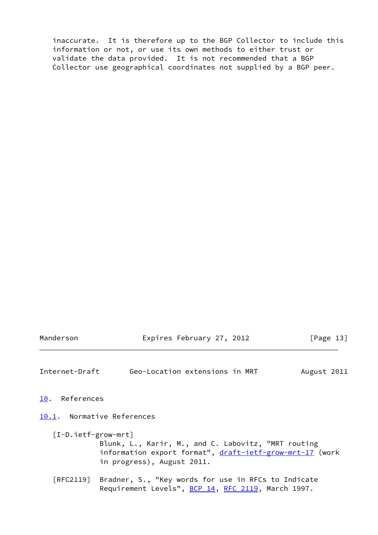inaccurate. It is therefore up to the BGP Collector to include this information or not, or use its own methods to either trust or validate the data provided. It is not recommended that a BGP Collector use geographical coordinates not supplied by a BGP peer.

Manderson **Expires February 27, 2012** [Page 13]

<span id="page-14-1"></span>Internet-Draft Geo-Location extensions in MRT August 2011

<span id="page-14-0"></span>[10.](#page-14-0) References

<span id="page-14-2"></span>[10.1](#page-14-2). Normative References

<span id="page-14-3"></span> [I-D.ietf-grow-mrt] Blunk, L., Karir, M., and C. Labovitz, "MRT routing information export format", [draft-ietf-grow-mrt-17](https://datatracker.ietf.org/doc/pdf/draft-ietf-grow-mrt-17) (work in progress), August 2011.

 [RFC2119] Bradner, S., "Key words for use in RFCs to Indicate Requirement Levels", [BCP 14](https://datatracker.ietf.org/doc/pdf/bcp14), [RFC 2119](https://datatracker.ietf.org/doc/pdf/rfc2119), March 1997.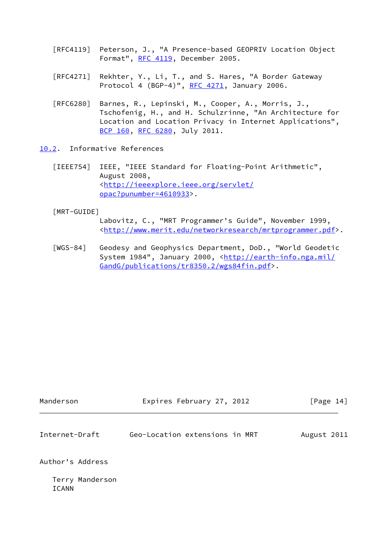- [RFC4119] Peterson, J., "A Presence-based GEOPRIV Location Object Format", [RFC 4119,](https://datatracker.ietf.org/doc/pdf/rfc4119) December 2005.
- [RFC4271] Rekhter, Y., Li, T., and S. Hares, "A Border Gateway Protocol 4 (BGP-4)", [RFC 4271](https://datatracker.ietf.org/doc/pdf/rfc4271), January 2006.
- [RFC6280] Barnes, R., Lepinski, M., Cooper, A., Morris, J., Tschofenig, H., and H. Schulzrinne, "An Architecture for Location and Location Privacy in Internet Applications", [BCP 160](https://datatracker.ietf.org/doc/pdf/bcp160), [RFC 6280,](https://datatracker.ietf.org/doc/pdf/rfc6280) July 2011.
- <span id="page-15-3"></span><span id="page-15-0"></span>[10.2](#page-15-0). Informative References
	- [IEEE754] IEEE, "IEEE Standard for Floating-Point Arithmetic", August 2008, <[http://ieeexplore.ieee.org/servlet/](http://ieeexplore.ieee.org/servlet/opac?punumber=4610933) [opac?punumber=4610933>](http://ieeexplore.ieee.org/servlet/opac?punumber=4610933).

<span id="page-15-2"></span>[MRT-GUIDE]

 Labovitz, C., "MRT Programmer's Guide", November 1999, <<http://www.merit.edu/networkresearch/mrtprogrammer.pdf>>.

<span id="page-15-4"></span> [WGS-84] Geodesy and Geophysics Department, DoD., "World Geodetic System 1984", January 2000, [<http://earth-info.nga.mil/](http://earth-info.nga.mil/GandG/publications/tr8350.2/wgs84fin.pdf) [GandG/publications/tr8350.2/wgs84fin.pdf>](http://earth-info.nga.mil/GandG/publications/tr8350.2/wgs84fin.pdf).

<span id="page-15-1"></span>

| Internet-Draft                  | Geo-Location extensions in MRT | August 2011 |
|---------------------------------|--------------------------------|-------------|
| Author's Address                |                                |             |
| Terry Manderson<br><b>ICANN</b> |                                |             |

Manderson **Expires February 27, 2012** [Page 14]